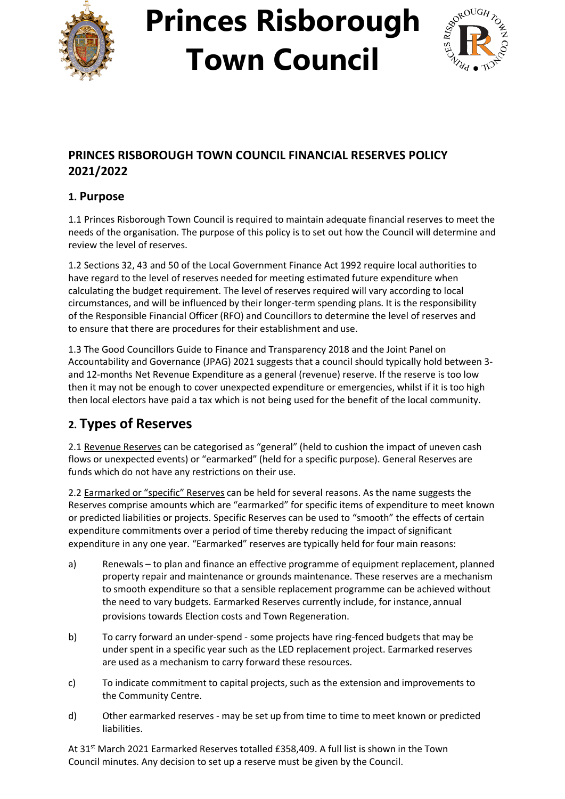

# **Princes Risborough Town Council**



### **PRINCES RISBOROUGH TOWN COUNCIL FINANCIAL RESERVES POLICY 2021/2022**

### **1. Purpose**

1.1 Princes Risborough Town Council is required to maintain adequate financial reserves to meet the needs of the organisation. The purpose of this policy is to set out how the Council will determine and review the level of reserves.

1.2 Sections 32, 43 and 50 of the Local Government Finance Act 1992 require local authorities to have regard to the level of reserves needed for meeting estimated future expenditure when calculating the budget requirement. The level of reserves required will vary according to local circumstances, and will be influenced by their longer-term spending plans. It is the responsibility of the Responsible Financial Officer (RFO) and Councillors to determine the level of reserves and to ensure that there are procedures for their establishment and use.

1.3 The Good Councillors Guide to Finance and Transparency 2018 and the Joint Panel on Accountability and Governance (JPAG) 2021 suggests that a council should typically hold between 3 and 12-months Net Revenue Expenditure as a general (revenue) reserve. If the reserve is too low then it may not be enough to cover unexpected expenditure or emergencies, whilst if it is too high then local electors have paid a tax which is not being used for the benefit of the local community.

### **2. Types of Reserves**

2.1 Revenue Reserves can be categorised as "general" (held to cushion the impact of uneven cash flows or unexpected events) or "earmarked" (held for a specific purpose). General Reserves are funds which do not have any restrictions on their use.

2.2 Earmarked or "specific" Reserves can be held for several reasons. As the name suggests the Reserves comprise amounts which are "earmarked" for specific items of expenditure to meet known or predicted liabilities or projects. Specific Reserves can be used to "smooth" the effects of certain expenditure commitments over a period of time thereby reducing the impact of significant expenditure in any one year. "Earmarked" reserves are typically held for four main reasons:

- a) Renewals to plan and finance an effective programme of equipment replacement, planned property repair and maintenance or grounds maintenance. These reserves are a mechanism to smooth expenditure so that a sensible replacement programme can be achieved without the need to vary budgets. Earmarked Reserves currently include, for instance, annual provisions towards Election costs and Town Regeneration.
- b) To carry forward an under-spend some projects have ring-fenced budgets that may be under spent in a specific year such as the LED replacement project. Earmarked reserves are used as a mechanism to carry forward these resources.
- c) To indicate commitment to capital projects, such as the extension and improvements to the Community Centre.
- d) Other earmarked reserves may be set up from time to time to meet known or predicted liabilities.

At 31<sup>st</sup> March 2021 Earmarked Reserves totalled £358,409. A full list is shown in the Town Council minutes. Any decision to set up a reserve must be given by the Council.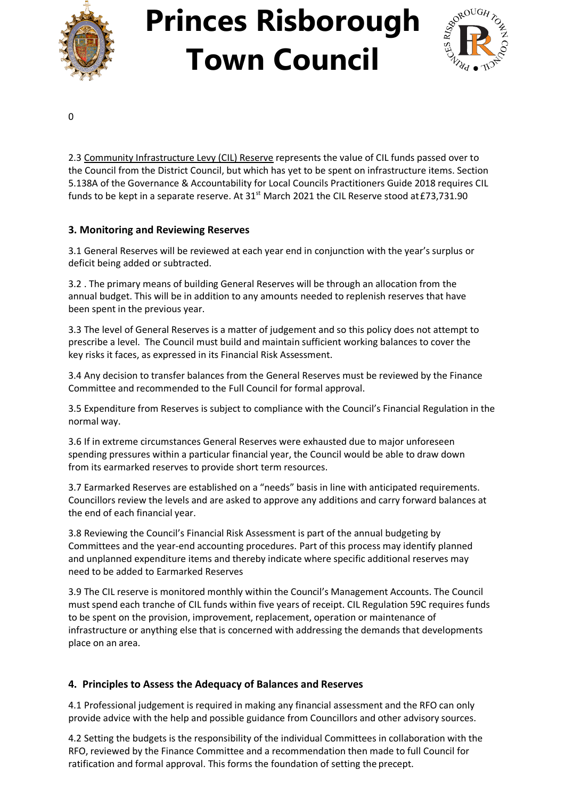

## **Princes Risborough Town Council**



0

2.3 Community Infrastructure Levy (CIL) Reserve represents the value of CIL funds passed over to the Council from the District Council, but which has yet to be spent on infrastructure items. Section 5.138A of the Governance & Accountability for Local Councils Practitioners Guide 2018 requires CIL funds to be kept in a separate reserve. At 31st March 2021 the CIL Reserve stood at £73,731.90

#### **3. Monitoring and Reviewing Reserves**

3.1 General Reserves will be reviewed at each year end in conjunction with the year's surplus or deficit being added or subtracted.

3.2 . The primary means of building General Reserves will be through an allocation from the annual budget. This will be in addition to any amounts needed to replenish reserves that have been spent in the previous year.

3.3 The level of General Reserves is a matter of judgement and so this policy does not attempt to prescribe a level. The Council must build and maintain sufficient working balances to cover the key risks it faces, as expressed in its Financial Risk Assessment.

3.4 Any decision to transfer balances from the General Reserves must be reviewed by the Finance Committee and recommended to the Full Council for formal approval.

3.5 Expenditure from Reserves is subject to compliance with the Council's Financial Regulation in the normal way.

3.6 If in extreme circumstances General Reserves were exhausted due to major unforeseen spending pressures within a particular financial year, the Council would be able to draw down from its earmarked reserves to provide short term resources.

3.7 Earmarked Reserves are established on a "needs" basis in line with anticipated requirements. Councillors review the levels and are asked to approve any additions and carry forward balances at the end of each financial year.

3.8 Reviewing the Council's Financial Risk Assessment is part of the annual budgeting by Committees and the year-end accounting procedures. Part of this process may identify planned and unplanned expenditure items and thereby indicate where specific additional reserves may need to be added to Earmarked Reserves

3.9 The CIL reserve is monitored monthly within the Council's Management Accounts. The Council must spend each tranche of CIL funds within five years of receipt. CIL Regulation 59C requires funds to be spent on the provision, improvement, replacement, operation or maintenance of infrastructure or anything else that is concerned with addressing the demands that developments place on an area.

#### **4. Principles to Assess the Adequacy of Balances and Reserves**

4.1 Professional judgement is required in making any financial assessment and the RFO can only provide advice with the help and possible guidance from Councillors and other advisory sources.

4.2 Setting the budgets is the responsibility of the individual Committees in collaboration with the RFO, reviewed by the Finance Committee and a recommendation then made to full Council for ratification and formal approval. This forms the foundation of setting the precept.